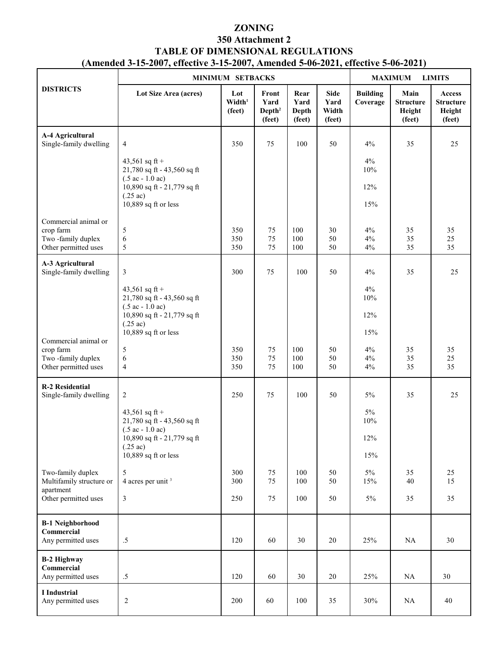## **ZONING 350 Attachment 2 TABLE OF DIMENSIONAL REGULATIONS (Amended 3-15-2007, effective 3-15-2007, Amended 5-06-2021, effective 5-06-2021)**

|                                                                                | MINIMUM SETBACKS                                                                                                                                                 |                                     |                                               |                                 |                                        | <b>MAXIMUM</b><br><b>LIMITS</b> |                                              |                                                       |
|--------------------------------------------------------------------------------|------------------------------------------------------------------------------------------------------------------------------------------------------------------|-------------------------------------|-----------------------------------------------|---------------------------------|----------------------------------------|---------------------------------|----------------------------------------------|-------------------------------------------------------|
| <b>DISTRICTS</b>                                                               | Lot Size Area (acres)                                                                                                                                            | Lot<br>Width <sup>1</sup><br>(feet) | Front<br>Yard<br>Depth <sup>2</sup><br>(feet) | Rear<br>Yard<br>Depth<br>(feet) | <b>Side</b><br>Yard<br>Width<br>(feet) | <b>Building</b><br>Coverage     | Main<br><b>Structure</b><br>Height<br>(feet) | <b>Access</b><br><b>Structure</b><br>Height<br>(feet) |
| A-4 Agricultural<br>Single-family dwelling                                     | 4                                                                                                                                                                | 350                                 | 75                                            | 100                             | 50                                     | 4%                              | 35                                           | 25                                                    |
|                                                                                | 43,561 sq ft +<br>21,780 sq ft - 43,560 sq ft<br>$(.5 \text{ ac} - 1.0 \text{ ac})$<br>10,890 sq ft - 21,779 sq ft<br>$(.25 \text{ ac})$<br>10,889 sq ft or less |                                     |                                               |                                 |                                        | 4%<br>10%<br>12%<br>15%         |                                              |                                                       |
| Commercial animal or<br>crop farm<br>Two-family duplex<br>Other permitted uses | 5<br>$\epsilon$<br>5                                                                                                                                             | 350<br>350<br>350                   | 75<br>75<br>75                                | 100<br>100<br>100               | 30<br>50<br>50                         | $4\%$<br>$4\%$<br>$4\%$         | 35<br>35<br>35                               | 35<br>25<br>35                                        |
| A-3 Agricultural<br>Single-family dwelling                                     | 3                                                                                                                                                                | 300                                 | 75                                            | 100                             | 50                                     | 4%                              | 35                                           | 25                                                    |
|                                                                                | 43,561 sq ft +<br>21,780 sq ft - 43,560 sq ft<br>$(.5 \text{ ac} - 1.0 \text{ ac})$                                                                              |                                     |                                               |                                 |                                        | $4\%$<br>10%                    |                                              |                                                       |
|                                                                                | 10,890 sq ft - 21,779 sq ft<br>$(.25 \text{ ac})$<br>10,889 sq ft or less                                                                                        |                                     |                                               |                                 |                                        | 12%<br>15%                      |                                              |                                                       |
| Commercial animal or<br>crop farm<br>Two-family duplex<br>Other permitted uses | 5<br>6<br>$\overline{4}$                                                                                                                                         | 350<br>350<br>350                   | 75<br>75<br>75                                | 100<br>100<br>100               | 50<br>50<br>50                         | 4%<br>$4\%$<br>$4\%$            | 35<br>35<br>35                               | 35<br>25<br>35                                        |
| <b>R-2 Residential</b><br>Single-family dwelling                               | 2                                                                                                                                                                | 250                                 | 75                                            | 100                             | 50                                     | $5\%$                           | 35                                           | 25                                                    |
|                                                                                | 43,561 sq ft +<br>21,780 sq ft - 43,560 sq ft<br>$(.5 \text{ ac} - 1.0 \text{ ac})$<br>10,890 sq ft - 21,779 sq ft                                               |                                     |                                               |                                 |                                        | 5%<br>10%<br>12%                |                                              |                                                       |
|                                                                                | $(.25 \text{ ac})$<br>$10,889$ sq ft or less                                                                                                                     |                                     |                                               |                                 |                                        | 15%                             |                                              |                                                       |
| Two-family duplex<br>Multifamily structure or                                  | 5<br>4 acres per unit <sup>3</sup>                                                                                                                               | 300<br>300                          | 75<br>75                                      | 100<br>100                      | 50<br>50                               | $5\%$<br>15%                    | 35<br>40                                     | 25<br>15                                              |
| apartment<br>Other permitted uses                                              | 3                                                                                                                                                                | 250                                 | 75                                            | 100                             | 50                                     | $5\%$                           | 35                                           | 35                                                    |
| <b>B-1 Neighborhood</b><br>Commercial<br>Any permitted uses                    | $.5\,$                                                                                                                                                           | 120                                 | 60                                            | 30                              | 20                                     | 25%                             | NA                                           | 30                                                    |
| <b>B-2 Highway</b><br>Commercial<br>Any permitted uses                         | $.5\,$                                                                                                                                                           | 120                                 | 60                                            | 30                              | 20                                     | 25%                             | NA                                           | 30                                                    |
| I Industrial<br>Any permitted uses                                             | $\overline{c}$                                                                                                                                                   | 200                                 | 60                                            | 100                             | 35                                     | 30%                             | NA                                           | 40                                                    |